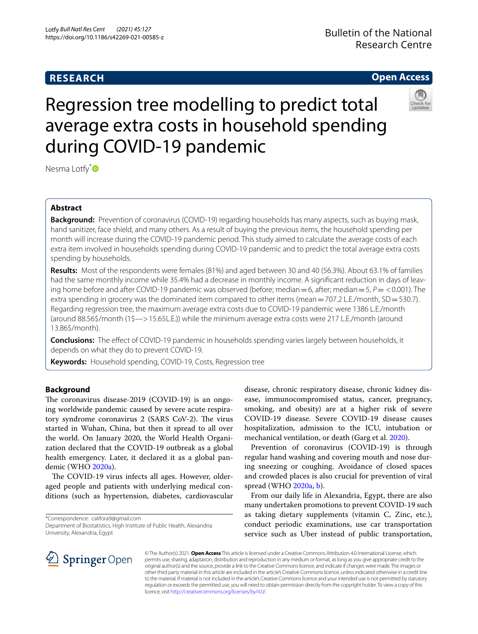# **RESEARCH**

# **Open Access**

# Regression tree modelling to predict total average extra costs in household spending during COVID-19 pandemic

Nesma Lotfy<sup>[\\*](http://orcid.org/0000-0002-1898-7910)</sup>

# **Abstract**

**Background:** Prevention of coronavirus (COVID-19) regarding households has many aspects, such as buying mask, hand sanitizer, face shield, and many others. As a result of buying the previous items, the household spending per month will increase during the COVID-19 pandemic period. This study aimed to calculate the average costs of each extra item involved in households spending during COVID-19 pandemic and to predict the total average extra costs spending by households.

**Results:** Most of the respondents were females (81%) and aged between 30 and 40 (56.3%). About 63.1% of families had the same monthly income while 35.4% had a decrease in monthly income. A signifcant reduction in days of leaving home before and after COVID-19 pandemic was observed (before; median=6, after; median=5, *P*= <0.001). The extra spending in grocery was the dominated item compared to other items (mean = 707.2 L.E./month,  $SD = 530.7$ ). Regarding regression tree, the maximum average extra costs due to COVID-19 pandemic were 1386 L.E./month (around 88.56\$/month (1\$—>15.65L.E.)) while the minimum average extra costs were 217 L.E./month (around 13.86\$/month).

**Conclusions:** The efect of COVID-19 pandemic in households spending varies largely between households, it depends on what they do to prevent COVID-19.

**Keywords:** Household spending, COVID-19, Costs, Regression tree

# **Background**

The coronavirus disease-2019 (COVID-19) is an ongoing worldwide pandemic caused by severe acute respiratory syndrome coronavirus 2 (SARS CoV-2). The virus started in Wuhan, China, but then it spread to all over the world. On January 2020, the World Health Organization declared that the COVID-19 outbreak as a global health emergency. Later, it declared it as a global pandemic (WHO [2020a](#page-6-0)).

The COVID-19 virus infects all ages. However, olderaged people and patients with underlying medical conditions (such as hypertension, diabetes, cardiovascular

\*Correspondence: califora9@gmail.com

Department of Biostatistics, High Institute of Public Health, Alexandria University, Alexandria, Egypt

disease, chronic respiratory disease, chronic kidney disease, immunocompromised status, cancer, pregnancy, smoking, and obesity) are at a higher risk of severe COVID-19 disease. Severe COVID-19 disease causes hospitalization, admission to the ICU, intubation or mechanical ventilation, or death (Garg et al. [2020](#page-6-1)).

Prevention of coronavirus (COVID-19) is through regular hand washing and covering mouth and nose during sneezing or coughing. Avoidance of closed spaces and crowded places is also crucial for prevention of viral spread (WHO [2020a,](#page-6-0) [b](#page-6-2)).

From our daily life in Alexandria, Egypt, there are also many undertaken promotions to prevent COVID-19 such as taking dietary supplements (vitamin C, Zinc, etc.), conduct periodic examinations, use car transportation service such as Uber instead of public transportation,



© The Author(s) 2021. **Open Access** This article is licensed under a Creative Commons Attribution 4.0 International License, which permits use, sharing, adaptation, distribution and reproduction in any medium or format, as long as you give appropriate credit to the original author(s) and the source, provide a link to the Creative Commons licence, and indicate if changes were made. The images or other third party material in this article are included in the article's Creative Commons licence, unless indicated otherwise in a credit line to the material. If material is not included in the article's Creative Commons licence and your intended use is not permitted by statutory regulation or exceeds the permitted use, you will need to obtain permission directly from the copyright holder. To view a copy of this licence, visit [http://creativecommons.org/licenses/by/4.0/.](http://creativecommons.org/licenses/by/4.0/)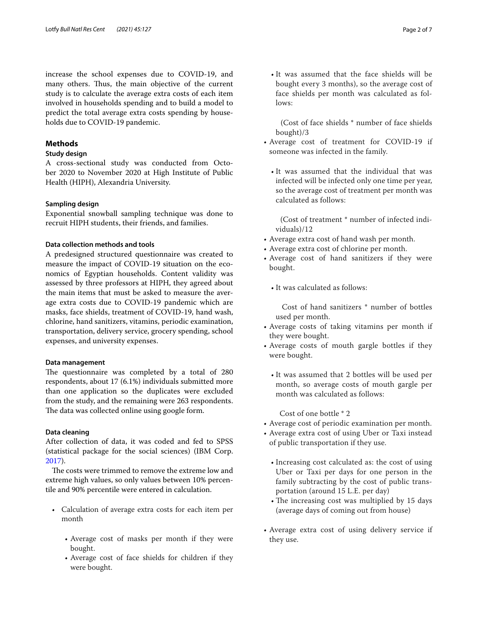increase the school expenses due to COVID-19, and many others. Thus, the main objective of the current study is to calculate the average extra costs of each item involved in households spending and to build a model to predict the total average extra costs spending by households due to COVID-19 pandemic.

# **Methods**

# **Study design**

A cross-sectional study was conducted from October 2020 to November 2020 at High Institute of Public Health (HIPH), Alexandria University.

# **Sampling design**

Exponential snowball sampling technique was done to recruit HIPH students, their friends, and families.

# **Data collection methods and tools**

A predesigned structured questionnaire was created to measure the impact of COVID-19 situation on the economics of Egyptian households. Content validity was assessed by three professors at HIPH, they agreed about the main items that must be asked to measure the average extra costs due to COVID-19 pandemic which are masks, face shields, treatment of COVID-19, hand wash, chlorine, hand sanitizers, vitamins, periodic examination, transportation, delivery service, grocery spending, school expenses, and university expenses.

### **Data management**

The questionnaire was completed by a total of 280 respondents, about 17 (6.1%) individuals submitted more than one application so the duplicates were excluded from the study, and the remaining were 263 respondents. The data was collected online using google form.

# **Data cleaning**

After collection of data, it was coded and fed to SPSS (statistical package for the social sciences) (IBM Corp. [2017](#page-6-3)).

The costs were trimmed to remove the extreme low and extreme high values, so only values between 10% percentile and 90% percentile were entered in calculation.

- Calculation of average extra costs for each item per month
	- Average cost of masks per month if they were bought.
	- Average cost of face shields for children if they were bought.

• It was assumed that the face shields will be bought every 3 months), so the average cost of face shields per month was calculated as follows:

 (Cost of face shields \* number of face shields bought)/3

- Average cost of treatment for COVID-19 if someone was infected in the family.
	- It was assumed that the individual that was infected will be infected only one time per year, so the average cost of treatment per month was calculated as follows:

 (Cost of treatment \* number of infected individuals)/12

- Average extra cost of hand wash per month.
- Average extra cost of chlorine per month.
- Average cost of hand sanitizers if they were bought.
	- It was calculated as follows:

 Cost of hand sanitizers \* number of bottles used per month.

- Average costs of taking vitamins per month if they were bought.
- Average costs of mouth gargle bottles if they were bought.
	- It was assumed that 2 bottles will be used per month, so average costs of mouth gargle per month was calculated as follows:

Cost of one bottle \* 2

- Average cost of periodic examination per month.
- Average extra cost of using Uber or Taxi instead of public transportation if they use.
	- Increasing cost calculated as: the cost of using Uber or Taxi per days for one person in the family subtracting by the cost of public transportation (around 15 L.E. per day)
	- $\cdot$  The increasing cost was multiplied by 15 days (average days of coming out from house)
- Average extra cost of using delivery service if they use.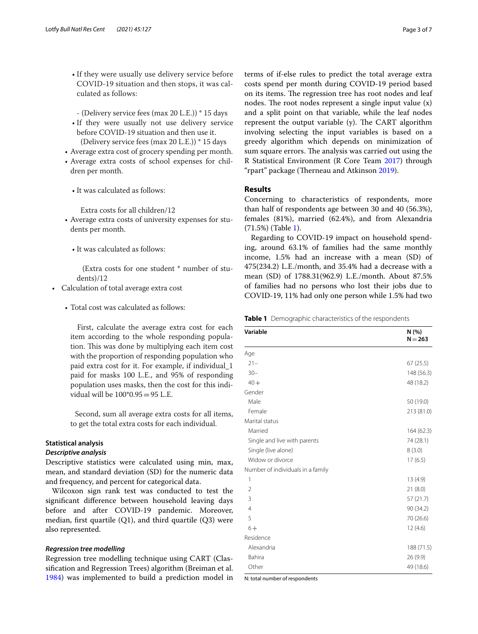- If they were usually use delivery service before COVID-19 situation and then stops, it was calculated as follows:
- (Delivery service fees (max 20 L.E.)) \* 15 days
- If they were usually not use delivery service before COVID-19 situation and then use it. (Delivery service fees (max 20 L.E.)) \* 15 days
- Average extra cost of grocery spending per month.
- Average extra costs of school expenses for children per month.
	- It was calculated as follows:

Extra costs for all children/12

- Average extra costs of university expenses for students per month.
	- It was calculated as follows:

 (Extra costs for one student \* number of students)/12

- Calculation of total average extra cost
	- Total cost was calculated as follows:

 First, calculate the average extra cost for each item according to the whole responding population. This was done by multiplying each item cost with the proportion of responding population who paid extra cost for it. For example, if individual\_1 paid for masks 100 L.E., and 95% of responding population uses masks, then the cost for this individual will be 100\*0.95=95 L.E.

 Second, sum all average extra costs for all items, to get the total extra costs for each individual.

# **Statistical analysis**

#### *Descriptive analysis*

Descriptive statistics were calculated using min, max, mean, and standard deviation (SD) for the numeric data and frequency, and percent for categorical data.

Wilcoxon sign rank test was conducted to test the signifcant diference between household leaving days before and after COVID-19 pandemic. Moreover, median, frst quartile (Q1), and third quartile (Q3) were also represented.

#### *Regression tree modelling*

Regression tree modelling technique using CART (Classifcation and Regression Trees) algorithm (Breiman et al. [1984](#page-6-4)) was implemented to build a prediction model in terms of if-else rules to predict the total average extra costs spend per month during COVID-19 period based on its items. The regression tree has root nodes and leaf nodes. The root nodes represent a single input value  $(x)$ and a split point on that variable, while the leaf nodes represent the output variable (y). The CART algorithm involving selecting the input variables is based on a greedy algorithm which depends on minimization of sum square errors. The analysis was carried out using the R Statistical Environment (R Core Team [2017\)](#page-6-5) through "rpart" package (Therneau and Atkinson [2019\)](#page-6-6).

#### **Results**

Concerning to characteristics of respondents, more than half of respondents age between 30 and 40 (56.3%), females (81%), married (62.4%), and from Alexandria (71.5%) (Table [1](#page-2-0)).

Regarding to COVID-19 impact on household spending, around 63.1% of families had the same monthly income, 1.5% had an increase with a mean (SD) of 475(234.2) L.E./month, and 35.4% had a decrease with a mean (SD) of 1788.31(962.9) L.E./month. About 87.5% of families had no persons who lost their jobs due to COVID-19, 11% had only one person while 1.5% had two

<span id="page-2-0"></span>**Table 1** Demographic characteristics of the respondents

| Variable                          | N(%)<br>$N = 263$ |
|-----------------------------------|-------------------|
| Age                               |                   |
| $21 -$                            | 67 (25.5)         |
| $30 -$                            | 148 (56.3)        |
| $40 +$                            | 48 (18.2)         |
| Gender                            |                   |
| Male                              | 50 (19.0)         |
| Female                            | 213 (81.0)        |
| Marital status                    |                   |
| Married                           | 164 (62.3)        |
| Single and live with parents      | 74 (28.1)         |
| Single (live alone)               | 8(3.0)            |
| Widow or divorce                  | 17(6.5)           |
| Number of individuals in a family |                   |
| 1                                 | 13 (4.9)          |
| $\overline{2}$                    | 21(8.0)           |
| 3                                 | 57(21.7)          |
| $\overline{4}$                    | 90 (34.2)         |
| 5                                 | 70 (26.6)         |
| $6+$                              | 12(4.6)           |
| Residence                         |                   |
| Alexandria                        | 188 (71.5)        |
| Bahira                            | 26 (9.9)          |
| Other                             | 49 (18.6)         |

N: total number of respondents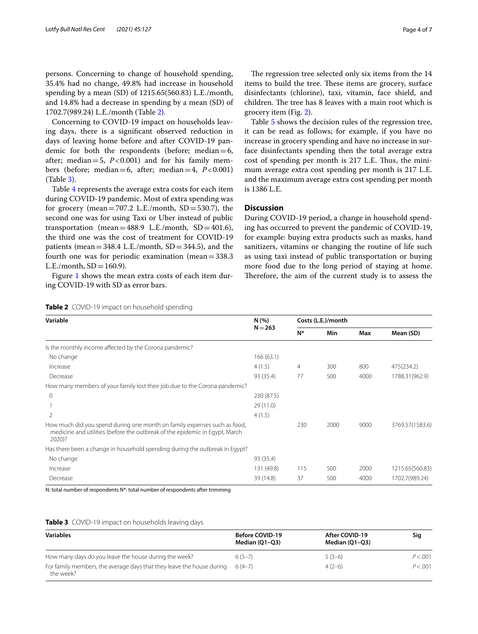persons. Concerning to change of household spending, 35.4% had no change, 49.8% had increase in household spending by a mean (SD) of 1215.65(560.83) L.E./month, and 14.8% had a decrease in spending by a mean (SD) of 1702.7(989.24) L.E./month (Table [2](#page-3-0)).

Concerning to COVID-19 impact on households leaving days, there is a signifcant observed reduction in days of leaving home before and after COVID-19 pandemic for both the respondents (before; median= $6$ , after; median=5,  $P < 0.001$ ) and for his family members (before; median=6, after; median=4,  $P < 0.001$ ) (Table [3](#page-3-1)).

Table [4](#page-4-0) represents the average extra costs for each item during COVID-19 pandemic. Most of extra spending was for grocery (mean=707.2 L.E./month,  $SD = 530.7$ ), the second one was for using Taxi or Uber instead of public transportation (mean=488.9 L.E./month,  $SD = 401.6$ ), the third one was the cost of treatment for COVID-19 patients (mean  $=$  348.4 L.E./month, SD  $=$  344.5), and the fourth one was for periodic examination (mean=338.3  $L.E./month, SD = 160.9$ .

Figure [1](#page-5-0) shows the mean extra costs of each item during COVID-19 with SD as error bars.

The regression tree selected only six items from the 14 items to build the tree. These items are grocery, surface disinfectants (chlorine), taxi, vitamin, face shield, and children. The tree has 8 leaves with a main root which is

Table [5](#page-6-7) shows the decision rules of the regression tree, it can be read as follows; for example, if you have no increase in grocery spending and have no increase in surface disinfectants spending then the total average extra cost of spending per month is 217 L.E. Thus, the minimum average extra cost spending per month is 217 L.E. and the maximum average extra cost spending per month is 1386 L.E.

# **Discussion**

grocery item (Fig. [2](#page-5-1)).

During COVID-19 period, a change in household spending has occurred to prevent the pandemic of COVID-19, for example: buying extra products such as masks, hand sanitizers, vitamins or changing the routine of life such as using taxi instead of public transportation or buying more food due to the long period of staying at home. Therefore, the aim of the current study is to assess the

| N (%)<br>$N = 263$ |       | Costs (L.E.)/month |      |                 |  |
|--------------------|-------|--------------------|------|-----------------|--|
|                    | $N^*$ | Min                | Max  | Mean (SD)       |  |
|                    |       |                    |      |                 |  |
| 166(63.1)          |       |                    |      |                 |  |
| 4(1.5)             | 4     | 300                | 800  | 475(234.2)      |  |
| 93 (35.4)          | 77    | 500                | 4000 | 1788.31 (962.9) |  |
|                    |       |                    |      |                 |  |
| 230 (87.5)         |       |                    |      |                 |  |
| 29(11.0)           |       |                    |      |                 |  |
| 4(1.5)             |       |                    |      |                 |  |
|                    | 230   | 2000               | 9000 | 3769.57(1583.6) |  |
|                    |       |                    |      |                 |  |
| 93 (35.4)          |       |                    |      |                 |  |
| 131 (49.8)         | 115   | 500                | 2000 | 1215.65(560.83) |  |
| 39 (14.8)          | 37    | 500                | 4000 | 1702.7(989.24)  |  |
|                    |       |                    |      |                 |  |

N: total number of respondents N\*: total number of respondents after trimming

<span id="page-3-1"></span>

|  | Table 3 COVID-19 impact on households leaving days |  |  |  |
|--|----------------------------------------------------|--|--|--|
|--|----------------------------------------------------|--|--|--|

| <b>Variables</b>                                                                   | <b>Before COVID-19</b><br>Median (O1-O3) | After COVID-19<br>Median (01-03) | Sig      |
|------------------------------------------------------------------------------------|------------------------------------------|----------------------------------|----------|
| How many days do you leave the house during the week?                              | $6(5-7)$                                 | $5(3-6)$                         | P < .001 |
| For family members, the average days that they leave the house during<br>the week? | $6(4-7)$                                 | $4(2-6)$                         | P < .001 |

<span id="page-3-0"></span>

| Table 2 COVID-19 impact on household spending |  |  |
|-----------------------------------------------|--|--|
|                                               |  |  |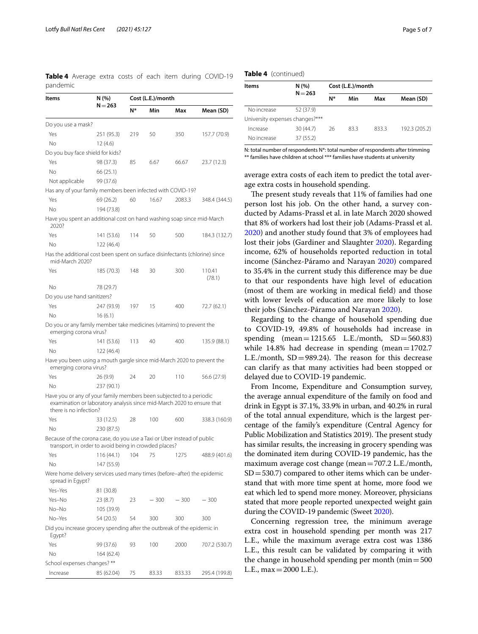<span id="page-4-0"></span>**Table 4** Average extra costs of each item during COVID-19 pandemic

| Items                                                                                                                                                                   | N (%)<br>$N = 263$ | Cost (L.E.)/month |        |        |                  |
|-------------------------------------------------------------------------------------------------------------------------------------------------------------------------|--------------------|-------------------|--------|--------|------------------|
|                                                                                                                                                                         |                    | N*                | Min    | Max    | Mean (SD)        |
| Do you use a mask?                                                                                                                                                      |                    |                   |        |        |                  |
| Yes                                                                                                                                                                     | 251 (95.3)         | 219               | 50     | 350    | 157.7 (70.9)     |
| No                                                                                                                                                                      | 12 (4.6)           |                   |        |        |                  |
| Do you buy face shield for kids?                                                                                                                                        |                    |                   |        |        |                  |
| Yes                                                                                                                                                                     | 98 (37.3)          | 85                | 6.67   | 66.67  | 23.7 (12.3)      |
| No.                                                                                                                                                                     | 66 (25.1)          |                   |        |        |                  |
| Not applicable                                                                                                                                                          | 99 (37.6)          |                   |        |        |                  |
| Has any of your family members been infected with COVID-19?                                                                                                             |                    |                   |        |        |                  |
| Yes                                                                                                                                                                     | 69 (26.2)          | 60                | 16.67  | 2083.3 | 348.4 (344.5)    |
| No                                                                                                                                                                      | 194 (73.8)         |                   |        |        |                  |
| Have you spent an additional cost on hand washing soap since mid-March<br>2020?                                                                                         |                    |                   |        |        |                  |
| Yes                                                                                                                                                                     | 141 (53.6)         | 114               | 50     | 500    | 184.3 (132.7)    |
| No                                                                                                                                                                      | 122 (46.4)         |                   |        |        |                  |
| Has the additional cost been spent on surface disinfectants (chlorine) since<br>mid-March 2020?                                                                         |                    |                   |        |        |                  |
| Yes                                                                                                                                                                     | 185 (70.3)         | 148               | 30     | 300    | 110.41<br>(78.1) |
| No.                                                                                                                                                                     | 78 (29.7)          |                   |        |        |                  |
| Do you use hand sanitizers?                                                                                                                                             |                    |                   |        |        |                  |
| Yes                                                                                                                                                                     | 247 (93.9)         | 197               | 15     | 400    | 72.7 (62.1)      |
| No.                                                                                                                                                                     | 16(6.1)            |                   |        |        |                  |
| Do you or any family member take medicines (vitamins) to prevent the<br>emerging corona virus?                                                                          |                    |                   |        |        |                  |
| Yes                                                                                                                                                                     | 141 (53.6)         | 113               | 40     | 400    | 135.9 (88.1)     |
| No                                                                                                                                                                      | 122 (46.4)         |                   |        |        |                  |
| Have you been using a mouth gargle since mid-March 2020 to prevent the<br>emerging corona virus?                                                                        |                    |                   |        |        |                  |
| Yes                                                                                                                                                                     | 26 (9.9)           | 24                | 20     | 110    | 56.6 (27.9)      |
| No                                                                                                                                                                      | 237 (90.1)         |                   |        |        |                  |
| Have you or any of your family members been subjected to a periodic<br>examination or laboratory analysis since mid-March 2020 to ensure that<br>there is no infection? |                    |                   |        |        |                  |
| Yes                                                                                                                                                                     | 33 (12.5)          | 28                | 100    | 600    | 338.3 (160.9)    |
| No.                                                                                                                                                                     | 230 (87.5)         |                   |        |        |                  |
| Because of the corona case, do you use a Taxi or Uber instead of public<br>transport, in order to avoid being in crowded places?                                        |                    |                   |        |        |                  |
| Yes                                                                                                                                                                     | 116 (44.1)         | 104               | - 75   | 12/5   | 488.9 (401.6)    |
| Νo                                                                                                                                                                      | 147 (55.9)         |                   |        |        |                  |
| Were home delivery services used many times (before-after) the epidemic<br>spread in Eqypt?                                                                             |                    |                   |        |        |                  |
| Yes-Yes                                                                                                                                                                 | 81 (30.8)          |                   |        |        |                  |
| Yes-No                                                                                                                                                                  | 23 (8.7)           | 23                | $-300$ | $-300$ | $-300$           |
| No-No                                                                                                                                                                   | 105 (39.9)         |                   |        |        |                  |
| No-Yes                                                                                                                                                                  | 54 (20.5)          | 54                | 300    | 300    | 300              |
| Did you increase grocery spending after the outbreak of the epidemic in<br>Egypt?                                                                                       |                    |                   |        |        |                  |
| Yes                                                                                                                                                                     | 99 (37.6)          | 93                | 100    | 2000   | 707.2 (530.7)    |
| Νo                                                                                                                                                                      | 164 (62.4)         |                   |        |        |                  |
| School expenses changes? **                                                                                                                                             |                    |                   |        |        |                  |
| Increase                                                                                                                                                                | 85 (62.04)         | 75                | 83.33  | 833.33 | 295.4 (199.8)    |
|                                                                                                                                                                         |                    |                   |        |        |                  |

#### **Table 4** (continued)

| ltems                           | N(% )     |    | Cost (L.E.)/month |       |               |  |
|---------------------------------|-----------|----|-------------------|-------|---------------|--|
|                                 | $N = 263$ | N* | Min               | Max   | Mean (SD)     |  |
| No increase                     | 52 (37.9) |    |                   |       |               |  |
| University expenses changes?*** |           |    |                   |       |               |  |
| Increase                        | 30(44.7)  | 26 | 83.3              | 833.3 | 192.3 (205.2) |  |
| No increase                     | 37 (55.2) |    |                   |       |               |  |

N: total number of respondents N\*: total number of respondents after trimming \*\* families have children at school \*\*\* families have students at university

average extra costs of each item to predict the total average extra costs in household spending.

The present study reveals that 11% of families had one person lost his job. On the other hand, a survey conducted by Adams-Prassl et al. in late March 2020 showed that 8% of workers had lost their job (Adams-Prassl et al. [2020\)](#page-6-8) and another study found that 3% of employees had lost their jobs (Gardiner and Slaughter [2020](#page-6-9)). Regarding income, 62% of households reported reduction in total income (Sánchez-Páramo and Narayan [2020\)](#page-6-10) compared to 35.4% in the current study this diference may be due to that our respondents have high level of education (most of them are working in medical feld) and those with lower levels of education are more likely to lose their jobs (Sánchez-Páramo and Narayan [2020\)](#page-6-10).

Regarding to the change of household spending due to COVID-19, 49.8% of households had increase in spending  $(mean = 1215.65$  L.E./month,  $SD = 560.83$ ) while 14.8% had decrease in spending (mean= $1702.7$ ) L.E./month,  $SD = 989.24$ ). The reason for this decrease can clarify as that many activities had been stopped or delayed due to COVID-19 pandemic.

From Income, Expenditure and Consumption survey, the average annual expenditure of the family on food and drink in Egypt is 37.1%, 33.9% in urban, and 40.2% in rural of the total annual expenditure, which is the largest percentage of the family's expenditure (Central Agency for Public Mobilization and Statistics 2019). The present study has similar results, the increasing in grocery spending was the dominated item during COVID-19 pandemic, has the maximum average cost change (mean=707.2 L.E./month,  $SD = 530.7$  compared to other items which can be understand that with more time spent at home, more food we eat which led to spend more money. Moreover, physicians stated that more people reported unexpected weight gain during the COVID-19 pandemic (Sweet [2020](#page-6-11)).

Concerning regression tree, the minimum average extra cost in household spending per month was 217 L.E., while the maximum average extra cost was 1386 L.E., this result can be validated by comparing it with the change in household spending per month ( $min=500$ ) L.E.,  $max = 2000$  L.E.).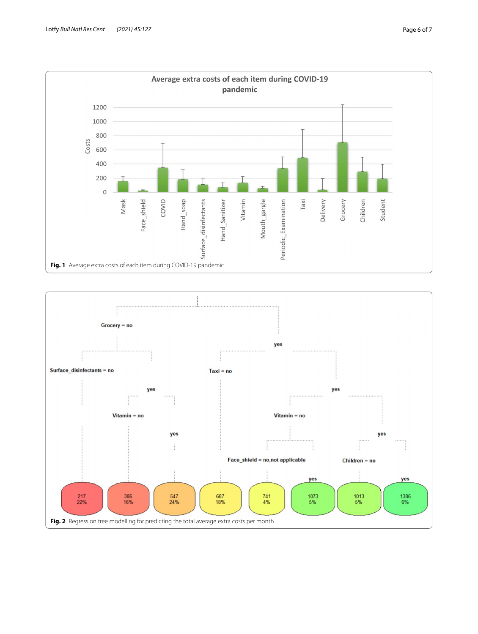

<span id="page-5-1"></span><span id="page-5-0"></span>